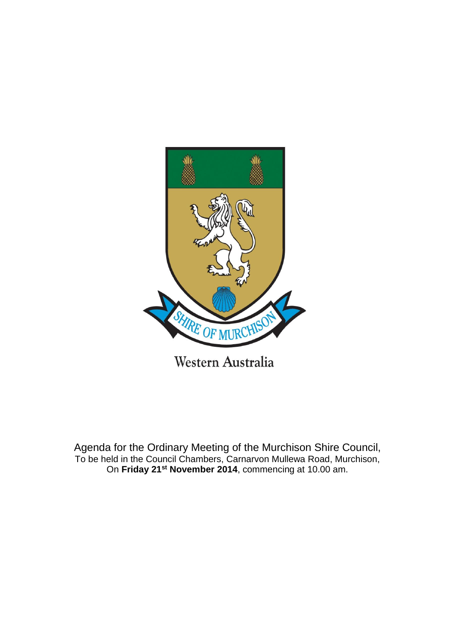

Agenda for the Ordinary Meeting of the Murchison Shire Council, To be held in the Council Chambers, Carnarvon Mullewa Road, Murchison, On **Friday 21st November 2014**, commencing at 10.00 am.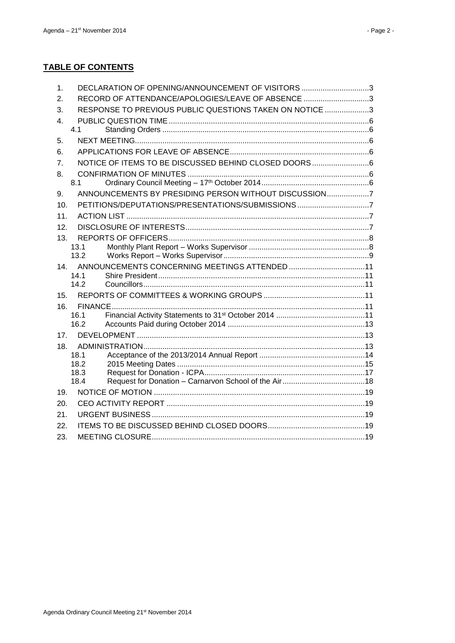# **TABLE OF CONTENTS**

| 1.              | DECLARATION OF OPENING/ANNOUNCEMENT OF VISITORS 3       |  |
|-----------------|---------------------------------------------------------|--|
| 2.              | RECORD OF ATTENDANCE/APOLOGIES/LEAVE OF ABSENCE 3       |  |
| 3.              | RESPONSE TO PREVIOUS PUBLIC QUESTIONS TAKEN ON NOTICE 3 |  |
| 4               |                                                         |  |
|                 | 4.1                                                     |  |
| 5.              |                                                         |  |
| 6.              |                                                         |  |
| 7.              | NOTICE OF ITEMS TO BE DISCUSSED BEHIND CLOSED DOORS6    |  |
| 8.              |                                                         |  |
|                 | 8.1                                                     |  |
| 9.              | ANNOUNCEMENTS BY PRESIDING PERSON WITHOUT DISCUSSION7   |  |
| 10.             |                                                         |  |
| 11.             |                                                         |  |
| 12.             |                                                         |  |
| 13.             |                                                         |  |
|                 | 13.1                                                    |  |
|                 | 13.2                                                    |  |
| 14.             | 14.1                                                    |  |
|                 | 14.2                                                    |  |
| 15.             |                                                         |  |
| 16.             |                                                         |  |
|                 | 16.1                                                    |  |
|                 | 162                                                     |  |
| 17 <sub>1</sub> |                                                         |  |
| 18.             |                                                         |  |
|                 | 18.1                                                    |  |
|                 | 18.2                                                    |  |
|                 | 18.3<br>18.4                                            |  |
| 19.             |                                                         |  |
| 20.             |                                                         |  |
| 21.             |                                                         |  |
| 22.             |                                                         |  |
| 23.             |                                                         |  |
|                 |                                                         |  |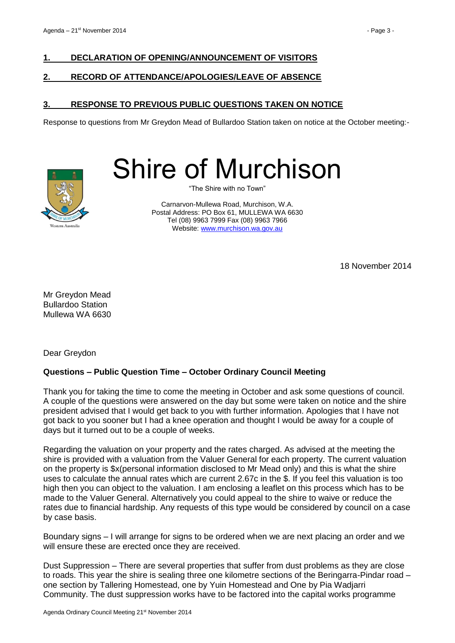### <span id="page-2-0"></span>**1. DECLARATION OF OPENING/ANNOUNCEMENT OF VISITORS**

### <span id="page-2-1"></span>**2. RECORD OF ATTENDANCE/APOLOGIES/LEAVE OF ABSENCE**

### <span id="page-2-2"></span>**3. RESPONSE TO PREVIOUS PUBLIC QUESTIONS TAKEN ON NOTICE**

Response to questions from Mr Greydon Mead of Bullardoo Station taken on notice at the October meeting:-



Shire of Murchison

"The Shire with no Town"

Carnarvon-Mullewa Road, Murchison, W.A. Postal Address: PO Box 61, MULLEWA WA 6630 Tel (08) 9963 7999 Fax (08) 9963 7966 Website: [www.murchison.wa.gov.au](http://www.murchison.wa.gov.au/)

18 November 2014

Mr Greydon Mead Bullardoo Station Mullewa WA 6630

Dear Greydon

### **Questions – Public Question Time – October Ordinary Council Meeting**

Thank you for taking the time to come the meeting in October and ask some questions of council. A couple of the questions were answered on the day but some were taken on notice and the shire president advised that I would get back to you with further information. Apologies that I have not got back to you sooner but I had a knee operation and thought I would be away for a couple of days but it turned out to be a couple of weeks.

Regarding the valuation on your property and the rates charged. As advised at the meeting the shire is provided with a valuation from the Valuer General for each property. The current valuation on the property is \$x(personal information disclosed to Mr Mead only) and this is what the shire uses to calculate the annual rates which are current 2.67c in the \$. If you feel this valuation is too high then you can object to the valuation. I am enclosing a leaflet on this process which has to be made to the Valuer General. Alternatively you could appeal to the shire to waive or reduce the rates due to financial hardship. Any requests of this type would be considered by council on a case by case basis.

Boundary signs – I will arrange for signs to be ordered when we are next placing an order and we will ensure these are erected once they are received.

Dust Suppression – There are several properties that suffer from dust problems as they are close to roads. This year the shire is sealing three one kilometre sections of the Beringarra-Pindar road – one section by Tallering Homestead, one by Yuin Homestead and One by Pia Wadjarri Community. The dust suppression works have to be factored into the capital works programme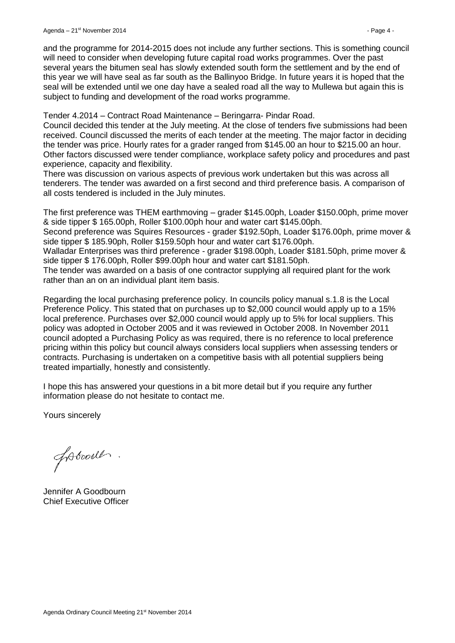Tender 4.2014 – Contract Road Maintenance – Beringarra- Pindar Road.

Council decided this tender at the July meeting. At the close of tenders five submissions had been received. Council discussed the merits of each tender at the meeting. The major factor in deciding the tender was price. Hourly rates for a grader ranged from \$145.00 an hour to \$215.00 an hour. Other factors discussed were tender compliance, workplace safety policy and procedures and past experience, capacity and flexibility.

There was discussion on various aspects of previous work undertaken but this was across all tenderers. The tender was awarded on a first second and third preference basis. A comparison of all costs tendered is included in the July minutes.

The first preference was THEM earthmoving – grader \$145.00ph, Loader \$150.00ph, prime mover & side tipper \$ 165.00ph, Roller \$100.00ph hour and water cart \$145.00ph.

Second preference was Squires Resources - grader \$192.50ph, Loader \$176.00ph, prime mover & side tipper \$ 185.90ph, Roller \$159.50ph hour and water cart \$176.00ph.

Walladar Enterprises was third preference - grader \$198.00ph, Loader \$181.50ph, prime mover & side tipper \$ 176.00ph, Roller \$99.00ph hour and water cart \$181.50ph.

The tender was awarded on a basis of one contractor supplying all required plant for the work rather than an on an individual plant item basis.

Regarding the local purchasing preference policy. In councils policy manual s.1.8 is the Local Preference Policy. This stated that on purchases up to \$2,000 council would apply up to a 15% local preference. Purchases over \$2,000 council would apply up to 5% for local suppliers. This policy was adopted in October 2005 and it was reviewed in October 2008. In November 2011 council adopted a Purchasing Policy as was required, there is no reference to local preference pricing within this policy but council always considers local suppliers when assessing tenders or contracts. Purchasing is undertaken on a competitive basis with all potential suppliers being treated impartially, honestly and consistently.

I hope this has answered your questions in a bit more detail but if you require any further information please do not hesitate to contact me.

Yours sincerely

foboods.

Jennifer A Goodbourn Chief Executive Officer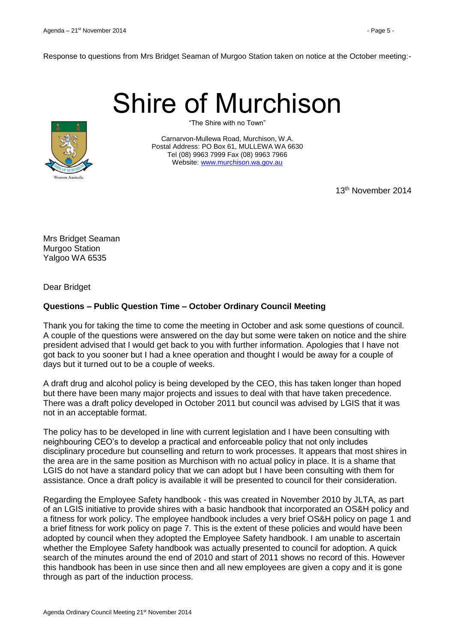# Shire of Murchison



"The Shire with no Town"

Carnarvon-Mullewa Road, Murchison, W.A. Postal Address: PO Box 61, MULLEWA WA 6630 Tel (08) 9963 7999 Fax (08) 9963 7966 Website: [www.murchison.wa.gov.au](http://www.murchison.wa.gov.au/)

13th November 2014

Mrs Bridget Seaman Murgoo Station Yalgoo WA 6535

Dear Bridget

# **Questions – Public Question Time – October Ordinary Council Meeting**

Thank you for taking the time to come the meeting in October and ask some questions of council. A couple of the questions were answered on the day but some were taken on notice and the shire president advised that I would get back to you with further information. Apologies that I have not got back to you sooner but I had a knee operation and thought I would be away for a couple of days but it turned out to be a couple of weeks.

A draft drug and alcohol policy is being developed by the CEO, this has taken longer than hoped but there have been many major projects and issues to deal with that have taken precedence. There was a draft policy developed in October 2011 but council was advised by LGIS that it was not in an acceptable format.

The policy has to be developed in line with current legislation and I have been consulting with neighbouring CEO's to develop a practical and enforceable policy that not only includes disciplinary procedure but counselling and return to work processes. It appears that most shires in the area are in the same position as Murchison with no actual policy in place. It is a shame that LGIS do not have a standard policy that we can adopt but I have been consulting with them for assistance. Once a draft policy is available it will be presented to council for their consideration.

Regarding the Employee Safety handbook - this was created in November 2010 by JLTA, as part of an LGIS initiative to provide shires with a basic handbook that incorporated an OS&H policy and a fitness for work policy. The employee handbook includes a very brief OS&H policy on page 1 and a brief fitness for work policy on page 7. This is the extent of these policies and would have been adopted by council when they adopted the Employee Safety handbook. I am unable to ascertain whether the Employee Safety handbook was actually presented to council for adoption. A quick search of the minutes around the end of 2010 and start of 2011 shows no record of this. However this handbook has been in use since then and all new employees are given a copy and it is gone through as part of the induction process.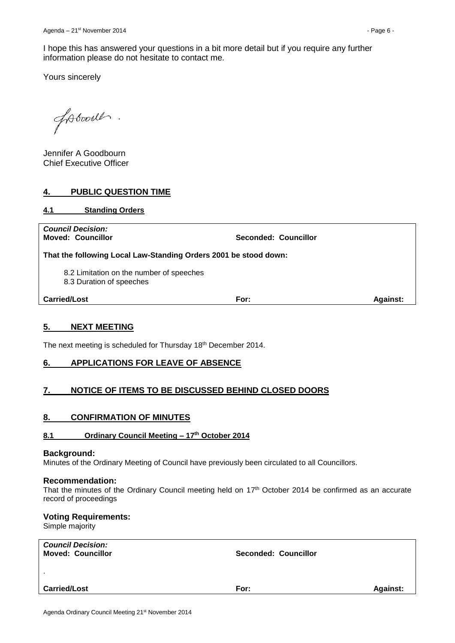Yours sincerely

fotooil.

Jennifer A Goodbourn Chief Executive Officer

### <span id="page-5-0"></span>**4. PUBLIC QUESTION TIME**

<span id="page-5-1"></span>**4.1 Standing Orders**

| <b>Carried/Lost</b>                                                  | For:                 | <b>Against:</b> |  |  |  |  |
|----------------------------------------------------------------------|----------------------|-----------------|--|--|--|--|
| 8.2 Limitation on the number of speeches<br>8.3 Duration of speeches |                      |                 |  |  |  |  |
| That the following Local Law-Standing Orders 2001 be stood down:     |                      |                 |  |  |  |  |
| <b>Council Decision:</b><br><b>Moved: Councillor</b>                 | Seconded: Councillor |                 |  |  |  |  |

### <span id="page-5-2"></span>**5. NEXT MEETING**

The next meeting is scheduled for Thursday 18th December 2014.

### <span id="page-5-3"></span>**6. APPLICATIONS FOR LEAVE OF ABSENCE**

### <span id="page-5-4"></span>**7. NOTICE OF ITEMS TO BE DISCUSSED BEHIND CLOSED DOORS**

### <span id="page-5-5"></span>**8. CONFIRMATION OF MINUTES**

### <span id="page-5-6"></span>**8.1 Ordinary Council Meeting – 17th October 2014**

### **Background:**

Minutes of the Ordinary Meeting of Council have previously been circulated to all Councillors.

### **Recommendation:**

That the minutes of the Ordinary Council meeting held on 17<sup>th</sup> October 2014 be confirmed as an accurate record of proceedings

### **Voting Requirements:**

Simple majority

| <b>Council Decision:</b><br><b>Moved: Councillor</b> | <b>Seconded: Councillor</b> |                 |
|------------------------------------------------------|-----------------------------|-----------------|
| $\mathbf{r}$                                         |                             |                 |
| <b>Carried/Lost</b>                                  | For:                        | <b>Against:</b> |
|                                                      |                             |                 |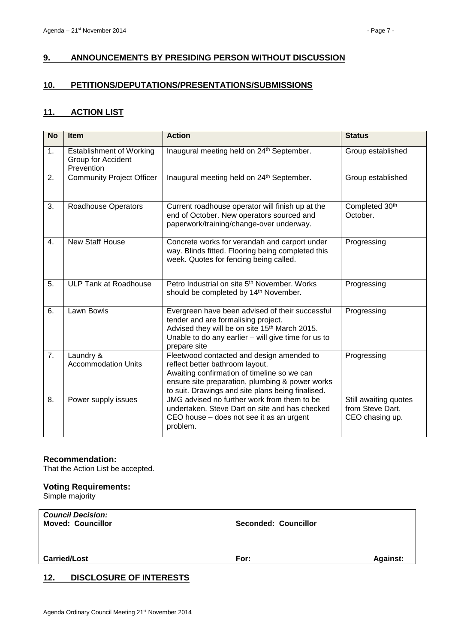### <span id="page-6-0"></span>**9. ANNOUNCEMENTS BY PRESIDING PERSON WITHOUT DISCUSSION**

### <span id="page-6-1"></span>**10. PETITIONS/DEPUTATIONS/PRESENTATIONS/SUBMISSIONS**

### <span id="page-6-2"></span>**11. ACTION LIST**

| <b>No</b> | <b>Item</b>                                                         | <b>Action</b>                                                                                                                                                                                                                       | <b>Status</b>                                                |
|-----------|---------------------------------------------------------------------|-------------------------------------------------------------------------------------------------------------------------------------------------------------------------------------------------------------------------------------|--------------------------------------------------------------|
| 1.        | <b>Establishment of Working</b><br>Group for Accident<br>Prevention | Inaugural meeting held on 24 <sup>th</sup> September.                                                                                                                                                                               | Group established                                            |
| 2.        | <b>Community Project Officer</b>                                    | Inaugural meeting held on 24 <sup>th</sup> September.                                                                                                                                                                               | Group established                                            |
| 3.        | <b>Roadhouse Operators</b>                                          | Current roadhouse operator will finish up at the<br>end of October. New operators sourced and<br>paperwork/training/change-over underway.                                                                                           | Completed 30th<br>October.                                   |
| 4.        | <b>New Staff House</b>                                              | Concrete works for verandah and carport under<br>way. Blinds fitted. Flooring being completed this<br>week. Quotes for fencing being called.                                                                                        | Progressing                                                  |
| 5.        | <b>ULP Tank at Roadhouse</b>                                        | Petro Industrial on site 5 <sup>th</sup> November, Works<br>should be completed by 14 <sup>th</sup> November.                                                                                                                       | Progressing                                                  |
| 6.        | <b>Lawn Bowls</b>                                                   | Evergreen have been advised of their successful<br>tender and are formalising project.<br>Advised they will be on site 15 <sup>th</sup> March 2015.<br>Unable to do any earlier $-$ will give time for us to<br>prepare site        | Progressing                                                  |
| 7.        | Laundry &<br><b>Accommodation Units</b>                             | Fleetwood contacted and design amended to<br>reflect better bathroom layout.<br>Awaiting confirmation of timeline so we can<br>ensure site preparation, plumbing & power works<br>to suit. Drawings and site plans being finalised. | Progressing                                                  |
| 8.        | Power supply issues                                                 | JMG advised no further work from them to be<br>undertaken. Steve Dart on site and has checked<br>CEO house - does not see it as an urgent<br>problem.                                                                               | Still awaiting quotes<br>from Steve Dart.<br>CEO chasing up. |

### **Recommendation:**

That the Action List be accepted.

### **Voting Requirements:**

Simple majority

| <b>Carried/Lost</b> | For: | <b>Against:</b> |
|---------------------|------|-----------------|

### <span id="page-6-3"></span>**12. DISCLOSURE OF INTERESTS**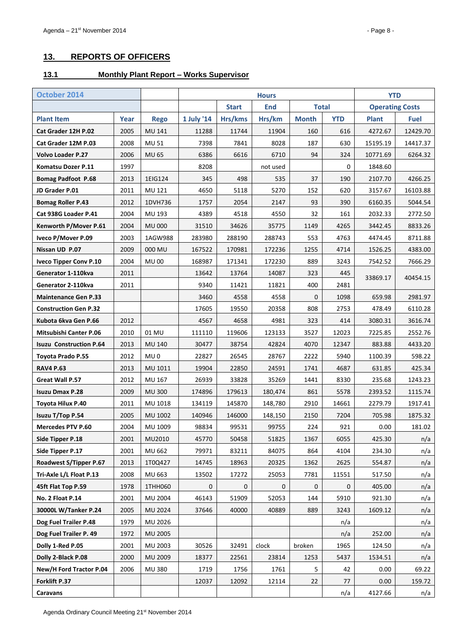# <span id="page-7-0"></span>**13. REPORTS OF OFFICERS**

# <span id="page-7-1"></span>**13.1 Monthly Plant Report – Works Supervisor**

| October 2014                   |      |                 |            | <b>Hours</b>                               |          |              | <b>YTD</b>             |              |             |
|--------------------------------|------|-----------------|------------|--------------------------------------------|----------|--------------|------------------------|--------------|-------------|
|                                |      |                 |            | <b>Total</b><br><b>Start</b><br><b>End</b> |          |              | <b>Operating Costs</b> |              |             |
| <b>Plant Item</b>              | Year | <b>Rego</b>     | 1 July '14 | Hrs/kms                                    | Hrs/km   | <b>Month</b> | <b>YTD</b>             | <b>Plant</b> | <b>Fuel</b> |
| Cat Grader 12H P.02            | 2005 | MU 141          | 11288      | 11744                                      | 11904    | 160          | 616                    | 4272.67      | 12429.70    |
| Cat Grader 12M P.03            | 2008 | MU 51           | 7398       | 7841                                       | 8028     | 187          | 630                    | 15195.19     | 14417.37    |
| <b>Volvo Loader P.27</b>       | 2006 | MU 65           | 6386       | 6616                                       | 6710     | 94           | 324                    | 10771.69     | 6264.32     |
| Komatsu Dozer P.11             | 1997 |                 | 8208       |                                            | not used |              | $\mathbf 0$            | 1848.60      |             |
| <b>Bomag Padfoot P.68</b>      | 2013 | 1EIG124         | 345        | 498                                        | 535      | 37           | 190                    | 2107.70      | 4266.25     |
| JD Grader P.01                 | 2011 | MU 121          | 4650       | 5118                                       | 5270     | 152          | 620                    | 3157.67      | 16103.88    |
| <b>Bomag Roller P.43</b>       | 2012 | 1DVH736         | 1757       | 2054                                       | 2147     | 93           | 390                    | 6160.35      | 5044.54     |
| Cat 938G Loader P.41           | 2004 | MU 193          | 4389       | 4518                                       | 4550     | 32           | 161                    | 2032.33      | 2772.50     |
| Kenworth P/Mover P.61          | 2004 | <b>MU 000</b>   | 31510      | 34626                                      | 35775    | 1149         | 4265                   | 3442.45      | 8833.26     |
| Iveco P/Mover P.09             | 2003 | 1AGW988         | 283980     | 288190                                     | 288743   | 553          | 4763                   | 4474.45      | 8711.88     |
| Nissan UD P.07                 | 2009 | 000 MU          | 167522     | 170981                                     | 172236   | 1255         | 4714                   | 1526.25      | 4383.00     |
| <b>Iveco Tipper Conv P.10</b>  | 2004 | <b>MU 00</b>    | 168987     | 171341                                     | 172230   | 889          | 3243                   | 7542.52      | 7666.29     |
| Generator 1-110kva             | 2011 |                 | 13642      | 13764                                      | 14087    | 323          | 445                    | 33869.17     | 40454.15    |
| Generator 2-110kva             | 2011 |                 | 9340       | 11421                                      | 11821    | 400          | 2481                   |              |             |
| <b>Maintenance Gen P.33</b>    |      |                 | 3460       | 4558                                       | 4558     | $\mathbf{0}$ | 1098                   | 659.98       | 2981.97     |
| <b>Construction Gen P.32</b>   |      |                 | 17605      | 19550                                      | 20358    | 808          | 2753                   | 478.49       | 6110.28     |
| Kubota 6kva Gen P.66           | 2012 |                 | 4567       | 4658                                       | 4981     | 323          | 414                    | 3080.31      | 3616.74     |
| <b>Mitsubishi Canter P.06</b>  | 2010 | 01 MU           | 111110     | 119606                                     | 123133   | 3527         | 12023                  | 7225.85      | 2552.76     |
| <b>Isuzu Construction P.64</b> | 2013 | <b>MU 140</b>   | 30477      | 38754                                      | 42824    | 4070         | 12347                  | 883.88       | 4433.20     |
| Toyota Prado P.55              | 2012 | MU <sub>0</sub> | 22827      | 26545                                      | 28767    | 2222         | 5940                   | 1100.39      | 598.22      |
| <b>RAV4 P.63</b>               | 2013 | MU 1011         | 19904      | 22850                                      | 24591    | 1741         | 4687                   | 631.85       | 425.34      |
| Great Wall P.57                | 2012 | MU 167          | 26939      | 33828                                      | 35269    | 1441         | 8330                   | 235.68       | 1243.23     |
| <b>Isuzu Dmax P.28</b>         | 2009 | <b>MU 300</b>   | 174896     | 179613                                     | 180,474  | 861          | 5578                   | 2393.52      | 1115.74     |
| Toyota Hilux P.40              | 2011 | MU 1018         | 134119     | 145870                                     | 148,780  | 2910         | 14661                  | 2279.79      | 1917.41     |
| Isuzu T/Top P.54               | 2005 | MU 1002         | 140946     | 146000                                     | 148,150  | 2150         | 7204                   | 705.98       | 1875.32     |
| <b>Mercedes PTV P.60</b>       | 2004 | MU 1009         | 98834      | 99531                                      | 99755    | 224          | 921                    | 0.00         | 181.02      |
| Side Tipper P.18               | 2001 | MU2010          | 45770      | 50458                                      | 51825    | 1367         | 6055                   | 425.30       | n/a         |
| Side Tipper P.17               | 2001 | MU 662          | 79971      | 83211                                      | 84075    | 864          | 4104                   | 234.30       | n/a         |
| Roadwest S/Tipper P.67         | 2013 | 1T0Q427         | 14745      | 18963                                      | 20325    | 1362         | 2625                   | 554.87       | n/a         |
| Tri-Axle L/L Float P.13        | 2008 | MU 663          | 13502      | 17272                                      | 25053    | 7781         | 11551                  | 517.50       | n/a         |
| 45ft Flat Top P.59             | 1978 | 1THH060         | 0          | $\pmb{0}$                                  | 0        | $\mathbf 0$  | $\boldsymbol{0}$       | 405.00       | n/a         |
| No. 2 Float P.14               | 2001 | <b>MU 2004</b>  | 46143      | 51909                                      | 52053    | 144          | 5910                   | 921.30       | n/a         |
| 30000L W/Tanker P.24           | 2005 | MU 2024         | 37646      | 40000                                      | 40889    | 889          | 3243                   | 1609.12      | n/a         |
| Dog Fuel Trailer P.48          | 1979 | MU 2026         |            |                                            |          |              | n/a                    |              | n/a         |
| Dog Fuel Trailer P. 49         | 1972 | MU 2005         |            |                                            |          |              | n/a                    | 252.00       | n/a         |
| Dolly 1-Red P.05               | 2001 | MU 2003         | 30526      | 32491                                      | clock    | broken       | 1965                   | 124.50       | n/a         |
| Dolly 2-Black P.08             | 2000 | MU 2009         | 18377      | 22561                                      | 23814    | 1253         | 5437                   | 1534.51      | n/a         |
| New/H Ford Tractor P.04        | 2006 | <b>MU 380</b>   | 1719       | 1756                                       | 1761     | 5            | 42                     | 0.00         | 69.22       |
| Forklift P.37                  |      |                 | 12037      | 12092                                      | 12114    | 22           | 77                     | 0.00         | 159.72      |
| Caravans                       |      |                 |            |                                            |          |              | n/a                    | 4127.66      | n/a         |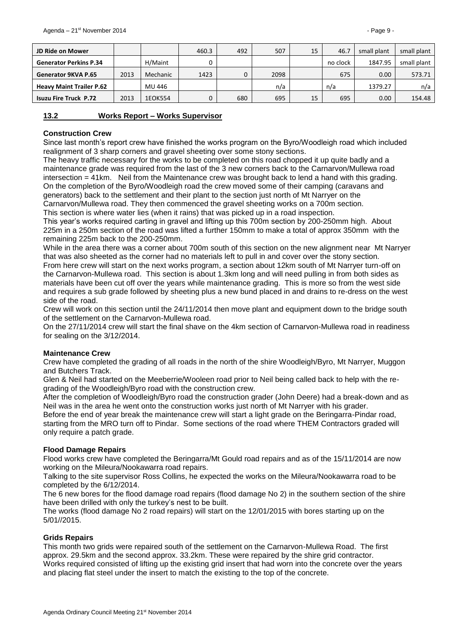| <b>JD Ride on Mower</b>         |      |          | 460.3 | 492 | 507  | 15 | 46.7     | small plant | small plant |
|---------------------------------|------|----------|-------|-----|------|----|----------|-------------|-------------|
| <b>Generator Perkins P.34</b>   |      | H/Maint  |       |     |      |    | no clock | 1847.95     | small plant |
| <b>Generator 9KVA P.65</b>      | 2013 | Mechanic | 1423  |     | 2098 |    | 675      | 0.00        | 573.71      |
| <b>Heavy Maint Trailer P.62</b> |      | MU 446   |       |     | n/a  |    | n/a      | 1379.27     | n/a         |
| <b>Isuzu Fire Truck P.72</b>    | 2013 | 1EOK554  |       | 680 | 695  | 15 | 695      | 0.00        | 154.48      |

### <span id="page-8-0"></span>**13.2 Works Report – Works Supervisor**

### **Construction Crew**

Since last month's report crew have finished the works program on the Byro/Woodleigh road which included realignment of 3 sharp corners and gravel sheeting over some stony sections.

The heavy traffic necessary for the works to be completed on this road chopped it up quite badly and a maintenance grade was required from the last of the 3 new corners back to the Carnarvon/Mullewa road intersection = 41km. Neil from the Maintenance crew was brought back to lend a hand with this grading. On the completion of the Byro/Woodleigh road the crew moved some of their camping (caravans and generators) back to the settlement and their plant to the section just north of Mt Narryer on the Carnarvon/Mullewa road. They then commenced the gravel sheeting works on a 700m section. This section is where water lies (when it rains) that was picked up in a road inspection.

This year's works required carting in gravel and lifting up this 700m section by 200-250mm high. About 225m in a 250m section of the road was lifted a further 150mm to make a total of approx 350mm with the remaining 225m back to the 200-250mm.

While in the area there was a corner about 700m south of this section on the new alignment near Mt Narryer that was also sheeted as the corner had no materials left to pull in and cover over the stony section. From here crew will start on the next works program, a section about 12km south of Mt Narryer turn-off on the Carnarvon-Mullewa road. This section is about 1.3km long and will need pulling in from both sides as materials have been cut off over the years while maintenance grading. This is more so from the west side and requires a sub grade followed by sheeting plus a new bund placed in and drains to re-dress on the west side of the road.

Crew will work on this section until the 24/11/2014 then move plant and equipment down to the bridge south of the settlement on the Carnarvon-Mullewa road.

On the 27/11/2014 crew will start the final shave on the 4km section of Carnarvon-Mullewa road in readiness for sealing on the 3/12/2014.

### **Maintenance Crew**

Crew have completed the grading of all roads in the north of the shire Woodleigh/Byro, Mt Narryer, Muggon and Butchers Track.

Glen & Neil had started on the Meeberrie/Wooleen road prior to Neil being called back to help with the regrading of the Woodleigh/Byro road with the construction crew.

After the completion of Woodleigh/Byro road the construction grader (John Deere) had a break-down and as Neil was in the area he went onto the construction works just north of Mt Narryer with his grader.

Before the end of year break the maintenance crew will start a light grade on the Beringarra-Pindar road, starting from the MRO turn off to Pindar. Some sections of the road where THEM Contractors graded will only require a patch grade.

### **Flood Damage Repairs**

Flood works crew have completed the Beringarra/Mt Gould road repairs and as of the 15/11/2014 are now working on the Mileura/Nookawarra road repairs.

Talking to the site supervisor Ross Collins, he expected the works on the Mileura/Nookawarra road to be completed by the 6/12/2014.

The 6 new bores for the flood damage road repairs (flood damage No 2) in the southern section of the shire have been drilled with only the turkey's nest to be built.

The works (flood damage No 2 road repairs) will start on the 12/01/2015 with bores starting up on the 5/01//2015.

### **Grids Repairs**

This month two grids were repaired south of the settlement on the Carnarvon-Mullewa Road. The first approx. 29.5km and the second approx. 33.2km. These were repaired by the shire grid contractor. Works required consisted of lifting up the existing grid insert that had worn into the concrete over the years and placing flat steel under the insert to match the existing to the top of the concrete.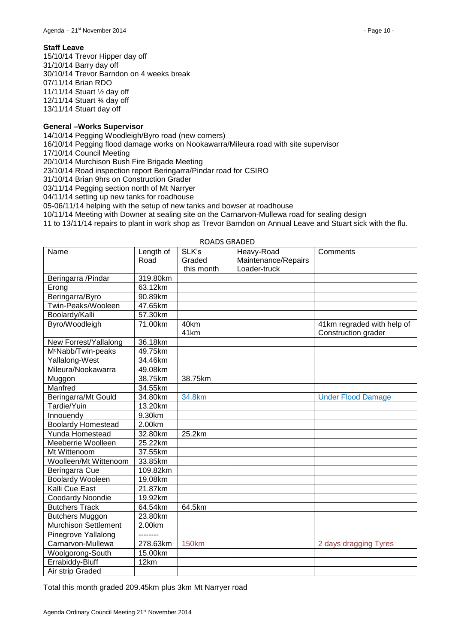15/10/14 Trevor Hipper day off 31/10/14 Barry day off 30/10/14 Trevor Barndon on 4 weeks break 07/11/14 Brian RDO 11/11/14 Stuart ½ day off 12/11/14 Stuart ¾ day off 13/11/14 Stuart day off

### **General –Works Supervisor**

14/10/14 Pegging Woodleigh/Byro road (new corners)

16/10/14 Pegging flood damage works on Nookawarra/Mileura road with site supervisor

17/10/14 Council Meeting

20/10/14 Murchison Bush Fire Brigade Meeting

23/10/14 Road inspection report Beringarra/Pindar road for CSIRO

31/10/14 Brian 9hrs on Construction Grader

03/11/14 Pegging section north of Mt Narryer

04/11/14 setting up new tanks for roadhouse

05-06/11/14 helping with the setup of new tanks and bowser at roadhouse

10/11/14 Meeting with Downer at sealing site on the Carnarvon-Mullewa road for sealing design

11 to 13/11/14 repairs to plant in work shop as Trevor Barndon on Annual Leave and Stuart sick with the flu.

| Name                           | Length of | SLK's        | Heavy-Road          | Comments                   |
|--------------------------------|-----------|--------------|---------------------|----------------------------|
|                                | Road      | Graded       | Maintenance/Repairs |                            |
|                                |           | this month   | Loader-truck        |                            |
| Beringarra /Pindar             | 319.80km  |              |                     |                            |
| Erong                          | 63.12km   |              |                     |                            |
| Beringarra/Byro                | 90.89km   |              |                     |                            |
| Twin-Peaks/Wooleen             | 47.65km   |              |                     |                            |
| Boolardy/Kalli                 | 57.30km   |              |                     |                            |
| Byro/Woodleigh                 | 71.00km   | 40km         |                     | 41km regraded with help of |
|                                |           | 41km         |                     | Construction grader        |
| New Forrest/Yallalong          | 36.18km   |              |                     |                            |
| M <sup>c</sup> Nabb/Twin-peaks | 49.75km   |              |                     |                            |
| Yallalong-West                 | 34.46km   |              |                     |                            |
| Mileura/Nookawarra             | 49.08km   |              |                     |                            |
| Muggon                         | 38.75km   | 38.75km      |                     |                            |
| Manfred                        | 34.55km   |              |                     |                            |
| Beringarra/Mt Gould            | 34.80km   | 34.8km       |                     | <b>Under Flood Damage</b>  |
| Tardie/Yuin                    | 13.20km   |              |                     |                            |
| Innouendy                      | 9.30km    |              |                     |                            |
| <b>Boolardy Homestead</b>      | 2.00km    |              |                     |                            |
| Yunda Homestead                | 32.80km   | 25.2km       |                     |                            |
| Meeberrie Woolleen             | 25.22km   |              |                     |                            |
| Mt Wittenoom                   | 37.55km   |              |                     |                            |
| Woolleen/Mt Wittenoom          | 33.85km   |              |                     |                            |
| Beringarra Cue                 | 109.82km  |              |                     |                            |
| <b>Boolardy Wooleen</b>        | 19.08km   |              |                     |                            |
| Kalli Cue East                 | 21.87km   |              |                     |                            |
| Coodardy Noondie               | 19.92km   |              |                     |                            |
| <b>Butchers Track</b>          | 64.54km   | 64.5km       |                     |                            |
| <b>Butchers Muggon</b>         | 23.80km   |              |                     |                            |
| <b>Murchison Settlement</b>    | 2.00km    |              |                     |                            |
| Pinegrove Yallalong            | --------  |              |                     |                            |
| Carnarvon-Mullewa              | 278.63km  | <b>150km</b> |                     | 2 days dragging Tyres      |
| Woolgorong-South               | 15.00km   |              |                     |                            |
| Errabiddy-Bluff                | 12km      |              |                     |                            |
| Air strip Graded               |           |              |                     |                            |

### ROADS GRADED

Total this month graded 209.45km plus 3km Mt Narryer road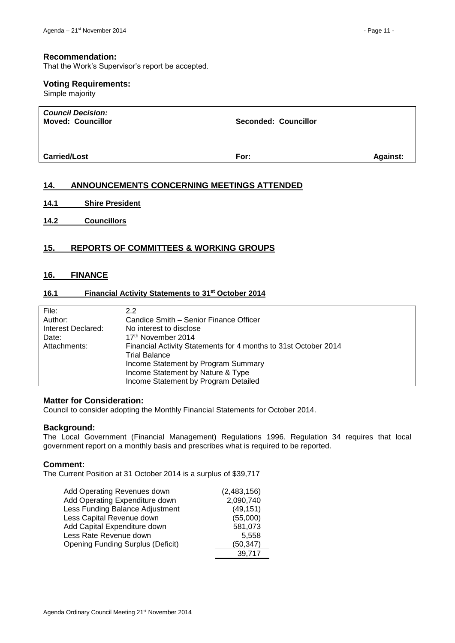### **Recommendation:**

That the Work's Supervisor's report be accepted.

### **Voting Requirements:**

Simple majority

| <b>Council Decision:</b><br><b>Moved: Councillor</b> | <b>Seconded: Councillor</b> |                 |
|------------------------------------------------------|-----------------------------|-----------------|
| <b>Carried/Lost</b>                                  | For:                        | <b>Against:</b> |

### <span id="page-10-0"></span>**14. ANNOUNCEMENTS CONCERNING MEETINGS ATTENDED**

- <span id="page-10-1"></span>**14.1 Shire President**
- <span id="page-10-2"></span>**14.2 Councillors**

### <span id="page-10-3"></span>**15. REPORTS OF COMMITTEES & WORKING GROUPS**

### <span id="page-10-4"></span>**16. FINANCE**

### <span id="page-10-5"></span>**16.1 Financial Activity Statements to 31st October 2014**

| File:              | 2.2                                                             |
|--------------------|-----------------------------------------------------------------|
| Author:            | Candice Smith – Senior Finance Officer                          |
| Interest Declared: | No interest to disclose                                         |
| Date:              | 17 <sup>th</sup> November 2014                                  |
| Attachments:       | Financial Activity Statements for 4 months to 31st October 2014 |
|                    | <b>Trial Balance</b>                                            |
|                    | Income Statement by Program Summary                             |
|                    | Income Statement by Nature & Type                               |
|                    | Income Statement by Program Detailed                            |

### **Matter for Consideration:**

Council to consider adopting the Monthly Financial Statements for October 2014.

### **Background:**

The Local Government (Financial Management) Regulations 1996. Regulation 34 requires that local government report on a monthly basis and prescribes what is required to be reported.

### **Comment:**

The Current Position at 31 October 2014 is a surplus of \$39,717

| Add Operating Revenues down              | (2,483,156) |
|------------------------------------------|-------------|
|                                          |             |
| Add Operating Expenditure down           | 2,090,740   |
| Less Funding Balance Adjustment          | (49, 151)   |
| Less Capital Revenue down                | (55,000)    |
| Add Capital Expenditure down             | 581,073     |
| Less Rate Revenue down                   | 5,558       |
| <b>Opening Funding Surplus (Deficit)</b> | (50, 347)   |
|                                          | 39,717      |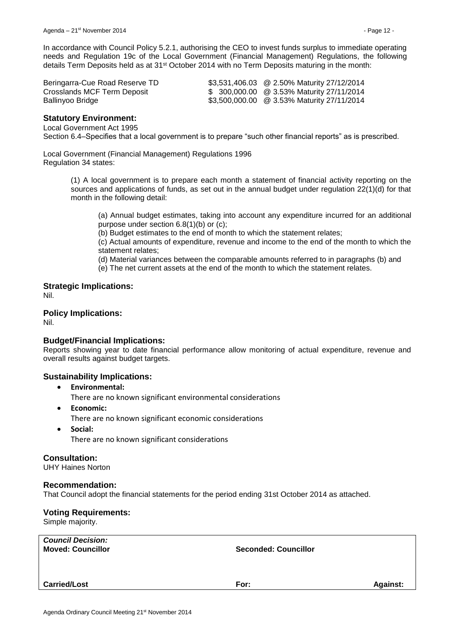In accordance with Council Policy 5.2.1, authorising the CEO to invest funds surplus to immediate operating needs and Regulation 19c of the Local Government (Financial Management) Regulations, the following details Term Deposits held as at 31st October 2014 with no Term Deposits maturing in the month:

| Beringarra-Cue Road Reserve TD | \$3,531,406.03 @ 2.50% Maturity 27/12/2014 |
|--------------------------------|--------------------------------------------|
| Crosslands MCF Term Deposit    | \$ 300,000.00 @ 3.53% Maturity 27/11/2014  |
| Ballinyoo Bridge               | \$3,500,000.00 @ 3.53% Maturity 27/11/2014 |

### **Statutory Environment:**

Local Government Act 1995

Section 6.4–Specifies that a local government is to prepare "such other financial reports" as is prescribed.

Local Government (Financial Management) Regulations 1996 Regulation 34 states:

> (1) A local government is to prepare each month a statement of financial activity reporting on the sources and applications of funds, as set out in the annual budget under regulation 22(1)(d) for that month in the following detail:

(a) Annual budget estimates, taking into account any expenditure incurred for an additional purpose under section 6.8(1)(b) or (c);

(b) Budget estimates to the end of month to which the statement relates;

(c) Actual amounts of expenditure, revenue and income to the end of the month to which the statement relates;

(d) Material variances between the comparable amounts referred to in paragraphs (b) and

(e) The net current assets at the end of the month to which the statement relates.

**Strategic Implications:** Nil.

### **Policy Implications:**

Nil.

### **Budget/Financial Implications:**

Reports showing year to date financial performance allow monitoring of actual expenditure, revenue and overall results against budget targets.

### **Sustainability Implications:**

- **Environmental:** There are no known significant environmental considerations
- **Economic:** There are no known significant economic considerations
- **Social:** There are no known significant considerations

### **Consultation:**

UHY Haines Norton

### **Recommendation:**

That Council adopt the financial statements for the period ending 31st October 2014 as attached.

### **Voting Requirements:**

Simple majority.

| <b>Council Decision:</b><br><b>Moved: Councillor</b> | <b>Seconded: Councillor</b> |                 |
|------------------------------------------------------|-----------------------------|-----------------|
| <b>Carried/Lost</b>                                  | For:                        | <b>Against:</b> |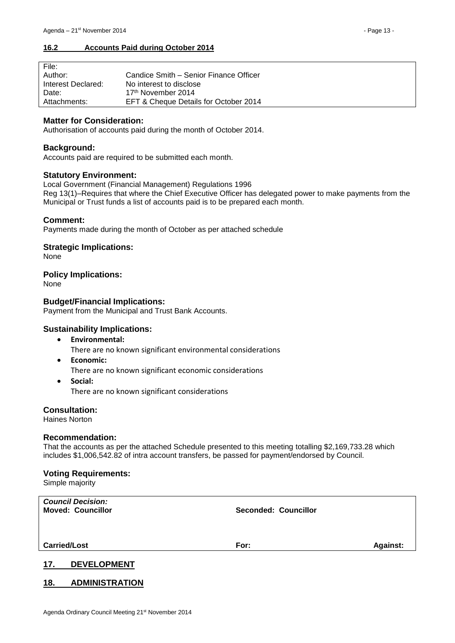### <span id="page-12-0"></span>**16.2 Accounts Paid during October 2014**

| File:              |                                        |
|--------------------|----------------------------------------|
| Author:            | Candice Smith – Senior Finance Officer |
| Interest Declared: | No interest to disclose                |
| Date:              | 17 <sup>th</sup> November 2014         |
| Attachments:       | EFT & Cheque Details for October 2014  |

### **Matter for Consideration:**

Authorisation of accounts paid during the month of October 2014.

### **Background:**

Accounts paid are required to be submitted each month.

### **Statutory Environment:**

Local Government (Financial Management) Regulations 1996 Reg 13(1)–Requires that where the Chief Executive Officer has delegated power to make payments from the Municipal or Trust funds a list of accounts paid is to be prepared each month.

### **Comment:**

Payments made during the month of October as per attached schedule

### **Strategic Implications:**

None

### **Policy Implications:**

None

### **Budget/Financial Implications:**

Payment from the Municipal and Trust Bank Accounts.

### **Sustainability Implications:**

**Environmental:**

There are no known significant environmental considerations

- **Economic:**
	- There are no known significant economic considerations
- **Social:** There are no known significant considerations

### **Consultation:**

Haines Norton

### **Recommendation:**

That the accounts as per the attached Schedule presented to this meeting totalling \$2,169,733.28 which includes \$1,006,542.82 of intra account transfers, be passed for payment/endorsed by Council.

### **Voting Requirements:**

Simple majority

| <b>Council Decision:</b><br><b>Moved: Councillor</b> | <b>Seconded: Councillor</b> |                 |
|------------------------------------------------------|-----------------------------|-----------------|
| <b>Carried/Lost</b>                                  | For:                        | <b>Against:</b> |
| 17<br><b>DEVELOPMENT</b>                             |                             |                 |

### <span id="page-12-2"></span><span id="page-12-1"></span>**18. ADMINISTRATION**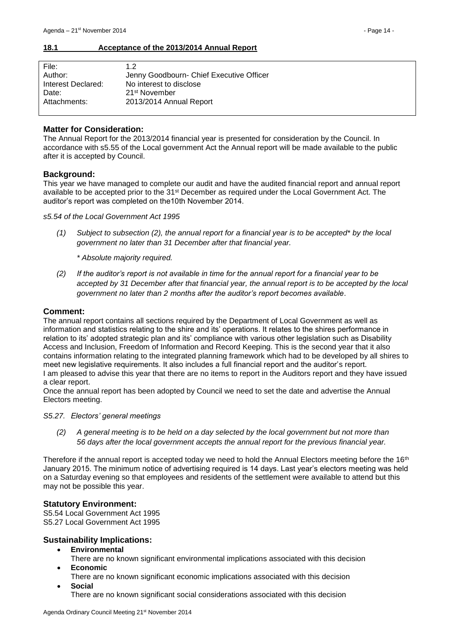### <span id="page-13-0"></span>**18.1 Acceptance of the 2013/2014 Annual Report**

| 12                                       |
|------------------------------------------|
| Jenny Goodbourn- Chief Executive Officer |
| No interest to disclose                  |
| 21 <sup>st</sup> November                |
| 2013/2014 Annual Report                  |
|                                          |

### **Matter for Consideration:**

The Annual Report for the 2013/2014 financial year is presented for consideration by the Council. In accordance with s5.55 of the Local government Act the Annual report will be made available to the public after it is accepted by Council.

### **Background:**

This year we have managed to complete our audit and have the audited financial report and annual report available to be accepted prior to the 31st December as required under the Local Government Act. The auditor's report was completed on the10th November 2014.

*s5.54 of the Local Government Act 1995*

*(1) Subject to subsection (2), the annual report for a financial year is to be accepted\* by the local government no later than 31 December after that financial year.*

*\* Absolute majority required.*

*(2) If the auditor's report is not available in time for the annual report for a financial year to be accepted by 31 December after that financial year, the annual report is to be accepted by the local government no later than 2 months after the auditor's report becomes available*.

### **Comment:**

The annual report contains all sections required by the Department of Local Government as well as information and statistics relating to the shire and its' operations. It relates to the shires performance in relation to its' adopted strategic plan and its' compliance with various other legislation such as Disability Access and Inclusion, Freedom of Information and Record Keeping. This is the second year that it also contains information relating to the integrated planning framework which had to be developed by all shires to meet new legislative requirements. It also includes a full financial report and the auditor's report. I am pleased to advise this year that there are no items to report in the Auditors report and they have issued a clear report.

Once the annual report has been adopted by Council we need to set the date and advertise the Annual Electors meeting.

*S5.27. Electors' general meetings*

*(2) A general meeting is to be held on a day selected by the local government but not more than 56 days after the local government accepts the annual report for the previous financial year.* 

Therefore if the annual report is accepted today we need to hold the Annual Electors meeting before the 16<sup>th</sup> January 2015. The minimum notice of advertising required is 14 days. Last year's electors meeting was held on a Saturday evening so that employees and residents of the settlement were available to attend but this may not be possible this year.

### **Statutory Environment:**

S5.54 Local Government Act 1995 S5.27 Local Government Act 1995

### **Sustainability Implications:**

- **Environmental**
	- There are no known significant environmental implications associated with this decision
- **Economic**
	- There are no known significant economic implications associated with this decision
	- **Social** There are no known significant social considerations associated with this decision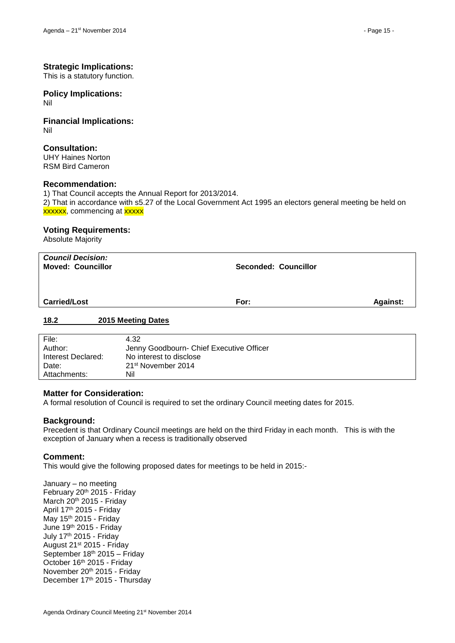### **Strategic Implications:**

This is a statutory function.

# **Policy Implications:**

Nil

### **Financial Implications:** Nil

### **Consultation:**

UHY Haines Norton RSM Bird Cameron

### **Recommendation:**

1) That Council accepts the Annual Report for 2013/2014. 2) That in accordance with s5.27 of the Local Government Act 1995 an electors general meeting be held on xxxxx, commencing at xxxxx

### **Voting Requirements:**

Absolute Majority

| <b>Council Decision:</b><br><b>Moved: Councillor</b> | Seconded: Councillor    |  |
|------------------------------------------------------|-------------------------|--|
| <b>Carried/Lost</b>                                  | For:<br><b>Against:</b> |  |
| 18.2<br>2015 Meeting Dates                           |                         |  |

<span id="page-14-0"></span>

| File:              | 4.32                                     |
|--------------------|------------------------------------------|
| Author:            | Jenny Goodbourn- Chief Executive Officer |
| Interest Declared: | No interest to disclose                  |
| Date:              | 21 <sup>st</sup> November 2014           |
| Attachments:       | Nil                                      |

### **Matter for Consideration:**

A formal resolution of Council is required to set the ordinary Council meeting dates for 2015.

### **Background:**

Precedent is that Ordinary Council meetings are held on the third Friday in each month. This is with the exception of January when a recess is traditionally observed

### **Comment:**

This would give the following proposed dates for meetings to be held in 2015:-

January – no meeting February 20th 2015 - Friday March 20<sup>th</sup> 2015 - Friday April 17th 2015 - Friday May 15<sup>th</sup> 2015 - Friday June 19th 2015 - Friday July 17th 2015 - Friday August 21st 2015 - Friday September 18th 2015 – Friday October 16<sup>th</sup> 2015 - Friday November 20th 2015 - Friday December 17th 2015 - Thursday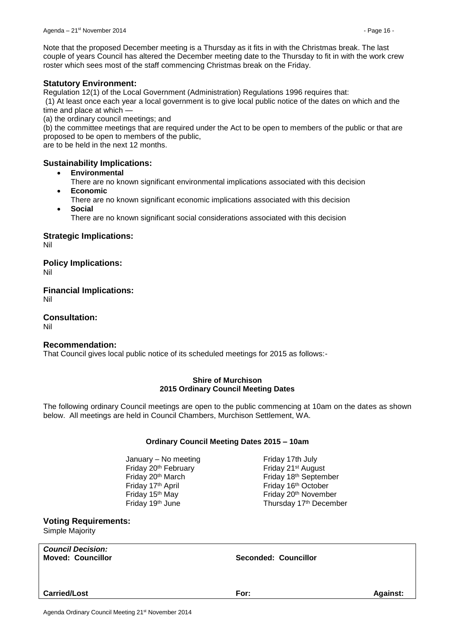Note that the proposed December meeting is a Thursday as it fits in with the Christmas break. The last couple of years Council has altered the December meeting date to the Thursday to fit in with the work crew roster which sees most of the staff commencing Christmas break on the Friday.

### **Statutory Environment:**

Regulation 12(1) of the Local Government (Administration) Regulations 1996 requires that:

(1) At least once each year a local government is to give local public notice of the dates on which and the time and place at which —

(a) the ordinary council meetings; and

(b) the committee meetings that are required under the Act to be open to members of the public or that are proposed to be open to members of the public,

are to be held in the next 12 months.

### **Sustainability Implications:**

- **Environmental**
	- There are no known significant environmental implications associated with this decision **Economic**
- 
- There are no known significant economic implications associated with this decision **Social**
	- There are no known significant social considerations associated with this decision

### **Strategic Implications:**

Nil

**Policy Implications:** Nil

**Financial Implications:** Nil

**Consultation:** Nil

### **Recommendation:**

That Council gives local public notice of its scheduled meetings for 2015 as follows:-

### **Shire of Murchison 2015 Ordinary Council Meeting Dates**

The following ordinary Council meetings are open to the public commencing at 10am on the dates as shown below. All meetings are held in Council Chambers, Murchison Settlement, WA.

### **Ordinary Council Meeting Dates 2015 – 10am**

January – No meeting Friday 17th July Friday 20<sup>th</sup> February Friday 21<sup>st</sup> August Friday 17<sup>th</sup> April **Friday 16<sup>th</sup> October** 

Friday 20<sup>th</sup> March Friday 18<sup>th</sup> September Friday 15<sup>th</sup> May **Friday 20<sup>th</sup> November** Friday 19<sup>th</sup> June Thursday 17<sup>th</sup> December

# **Voting Requirements:**

Simple Majority

*Council Decision:*

### **Moved: Councillor Seconded: Councillor**

**Carried/Lost For: Against:**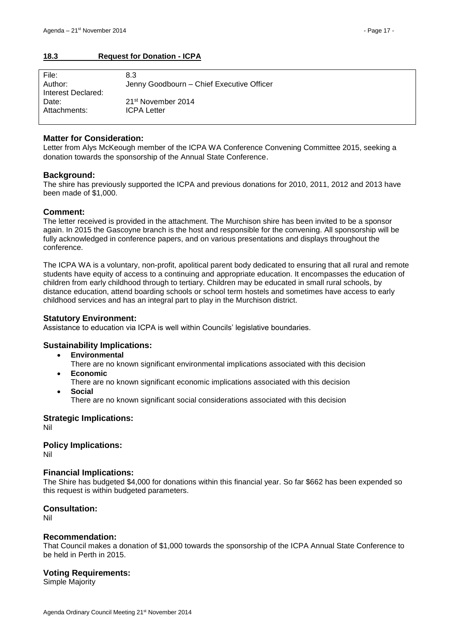### <span id="page-16-0"></span>**18.3 Request for Donation - ICPA**

| File:              | 8.3                                       |
|--------------------|-------------------------------------------|
| Author:            | Jenny Goodbourn - Chief Executive Officer |
| Interest Declared: |                                           |
| Date:              | 21 <sup>st</sup> November 2014            |
| Attachments:       | <b>ICPA Letter</b>                        |
|                    |                                           |

### **Matter for Consideration:**

Letter from Alys McKeough member of the ICPA WA Conference Convening Committee 2015, seeking a donation towards the sponsorship of the Annual State Conference.

### **Background:**

The shire has previously supported the ICPA and previous donations for 2010, 2011, 2012 and 2013 have been made of \$1,000.

### **Comment:**

The letter received is provided in the attachment. The Murchison shire has been invited to be a sponsor again. In 2015 the Gascoyne branch is the host and responsible for the convening. All sponsorship will be fully acknowledged in conference papers, and on various presentations and displays throughout the conference.

The ICPA WA is a voluntary, non-profit, apolitical parent body dedicated to ensuring that all rural and remote students have equity of access to a continuing and appropriate education. It encompasses the education of children from early childhood through to tertiary. Children may be educated in small rural schools, by distance education, attend boarding schools or school term hostels and sometimes have access to early childhood services and has an integral part to play in the Murchison district.

### **Statutory Environment:**

Assistance to education via ICPA is well within Councils' legislative boundaries.

### **Sustainability Implications:**

**Environmental**

There are no known significant environmental implications associated with this decision

- **Economic**
- There are no known significant economic implications associated with this decision
- **Social**

There are no known significant social considerations associated with this decision

**Strategic Implications:** Nil

**Policy Implications:**

Nil

### **Financial Implications:**

The Shire has budgeted \$4,000 for donations within this financial year. So far \$662 has been expended so this request is within budgeted parameters.

### **Consultation:**

Nil

### **Recommendation:**

That Council makes a donation of \$1,000 towards the sponsorship of the ICPA Annual State Conference to be held in Perth in 2015.

### **Voting Requirements:**

Simple Majority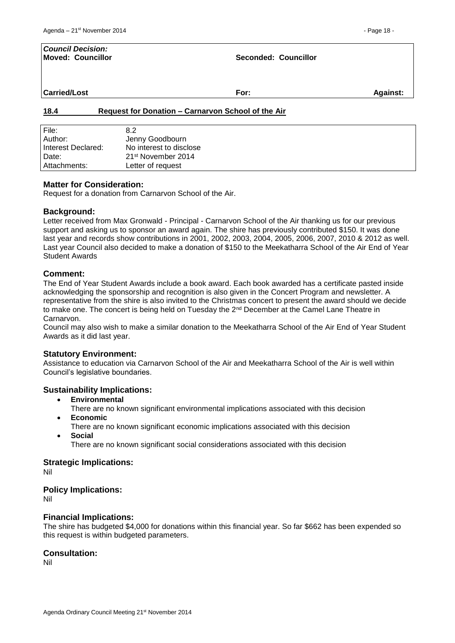| <b>Council Decision:</b><br><b>Moved: Councillor</b> |                                                    | Seconded: Councillor |          |
|------------------------------------------------------|----------------------------------------------------|----------------------|----------|
| <b>Carried/Lost</b>                                  |                                                    | For:                 | Against: |
| 18.4                                                 | Request for Donation - Carnarvon School of the Air |                      |          |
| File:<br>Author:                                     | 8.2<br>Jenny Goodbourn                             |                      |          |

| <b>Matter for Consideration:</b> |  |
|----------------------------------|--|

<span id="page-17-0"></span>Interest Declared: No interest to disclose Date: 21<sup>st</sup> November 2014 Attachments: Letter of request

Request for a donation from Carnarvon School of the Air.

### **Background:**

Letter received from Max Gronwald - Principal - Carnarvon School of the Air thanking us for our previous support and asking us to sponsor an award again. The shire has previously contributed \$150. It was done last year and records show contributions in 2001, 2002, 2003, 2004, 2005, 2006, 2007, 2010 & 2012 as well. Last year Council also decided to make a donation of \$150 to the Meekatharra School of the Air End of Year Student Awards

### **Comment:**

The End of Year Student Awards include a book award. Each book awarded has a certificate pasted inside acknowledging the sponsorship and recognition is also given in the Concert Program and newsletter. A representative from the shire is also invited to the Christmas concert to present the award should we decide to make one. The concert is being held on Tuesday the 2<sup>nd</sup> December at the Camel Lane Theatre in Carnarvon.

Council may also wish to make a similar donation to the Meekatharra School of the Air End of Year Student Awards as it did last year.

### **Statutory Environment:**

Assistance to education via Carnarvon School of the Air and Meekatharra School of the Air is well within Council's legislative boundaries.

### **Sustainability Implications:**

- **Environmental**
- There are no known significant environmental implications associated with this decision **Economic**
- There are no known significant economic implications associated with this decision
- **Social**
	- There are no known significant social considerations associated with this decision

### **Strategic Implications:**

Nil

### **Policy Implications:**

Nil

### **Financial Implications:**

The shire has budgeted \$4,000 for donations within this financial year. So far \$662 has been expended so this request is within budgeted parameters.

### **Consultation:**

Nil